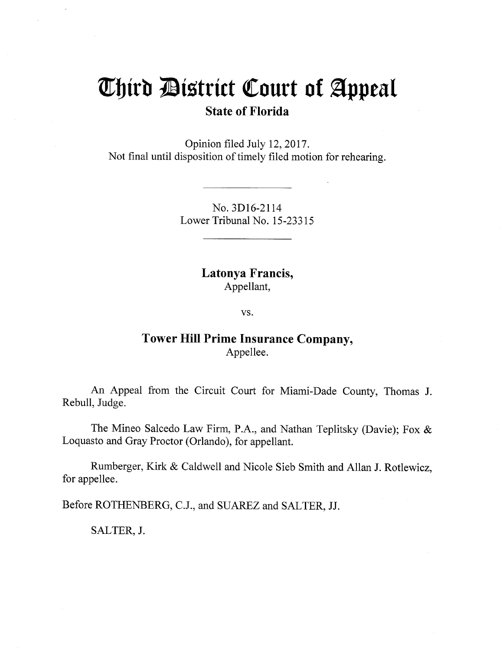## Third District Court of Appeal **State of Florida**

Opinion filed July 12, 2017. Not final until disposition of timely filed motion for rehearing.

> No. 3D16-2114 Lower Tribunal No. 15-23315

> > Latonya Francis, Appellant,

> > > VS.

## **Tower Hill Prime Insurance Company,** Appellee.

An Appeal from the Circuit Court for Miami-Dade County, Thomas J. Rebull, Judge.

The Mineo Salcedo Law Firm, P.A., and Nathan Teplitsky (Davie); Fox & Loquasto and Gray Proctor (Orlando), for appellant.

Rumberger, Kirk & Caldwell and Nicole Sieb Smith and Allan J. Rotlewicz, for appellee.

Before ROTHENBERG, C.J., and SUAREZ and SALTER, JJ.

SALTER, J.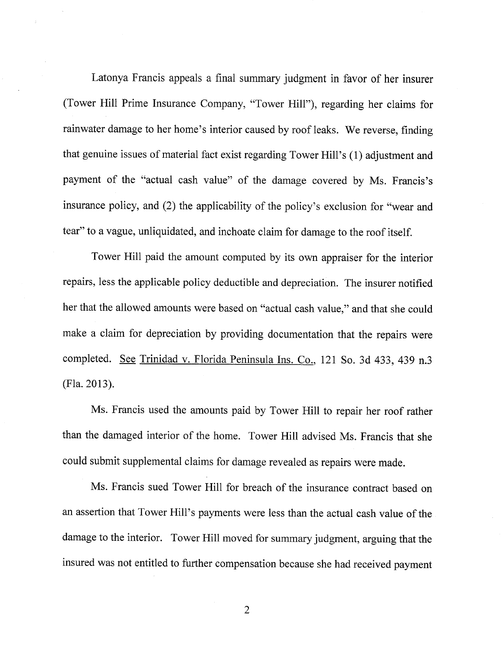Latonya Francis appeals a final summary judgment in favor of her insurer (Tower Hill Prime Insurance Company, "Tower Hill"), regarding her claims for rainwater damage to her home's interior caused by roof leaks. We reverse, finding that genuine issues of material fact exist regarding Tower Hill's (1) adjustment and payment of the "actual cash value" of the damage covered by Ms. Francis's insurance policy, and (2) the applicability of the policy's exclusion for "wear and tear" to a vague, unliquidated, and inchoate claim for damage to the roof itself.

Tower Hill paid the amount computed by its own appraiser for the interior repairs, less the applicable policy deductible and depreciation. The insurer notified her that the allowed amounts were based on "actual cash value," and that she could make a claim for depreciation by providing documentation that the repairs were completed. See Trinidad v. Florida Peninsula Ins. Co., I2I So. 3d 433, 439 n.3 (Fla.20l3).

Ms. Francis used the amounts paid by Tower Hill to repair her roof rather than the damaged interior of the home. Tower Hill advised Ms. Francis that she could submit supplemental claims for damage revealed as repairs were made.

Ms. Francis sued Tower Hill for breach of the insurance contract based on an assertion that Tower Hill's payments were less than the actual cash value of the damage to the interior. Tower Hill moved for summary judgment, arguing that the insured was not entitled to further compensation because she had received payment

2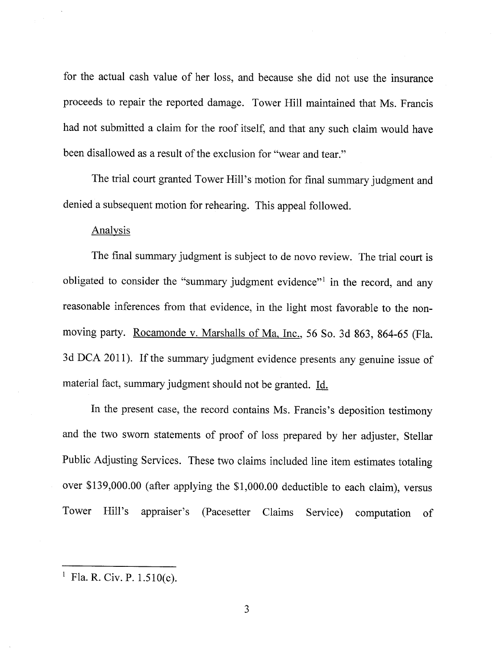for the actual cash value of her loss, and because she did not use the insurance proceeds to repair the reported damage. Tower Hill maintained that Ms. Francis had not submitted a claim for the roof itself, and that any such claim would have been disallowed as a result of the exclusion for "wear and tear."

The trial court granted Tower Hill's motion for final summary judgment and denied a subsequent motion for rehearing. This appeal followed.

## Analysis

The final summary judgment is subject to de novo review. The trial court is obligated to consider the "summary judgment evidence"<sup>1</sup> in the record, and any reasonable inferences from that evidence, in the light most favorable to the nonmoving party. Rocamonde v. Marshalls of Ma, Inc., 56 So. 3d 863, 864-65 (Fla. 3d DCA 20II). If the summary judgment evidence presents any genuine issue of material fact, summary judgment should not be granted. Id.

In the present case, the record contains Ms. Francis's deposition testimony and the two sworn statements of proof of loss prepared by her adjuster, Stellar Public Adjusting Services. These two claims included line item estimates totaling over \$139,000.00 (after applying the \$1,000.00 deductible to each claim), versus Tower Hill's appraiser's (Pacesetter Claims Service) computation of

<sup>&</sup>lt;sup>1</sup> Fla. R. Civ. P.  $1.510(c)$ .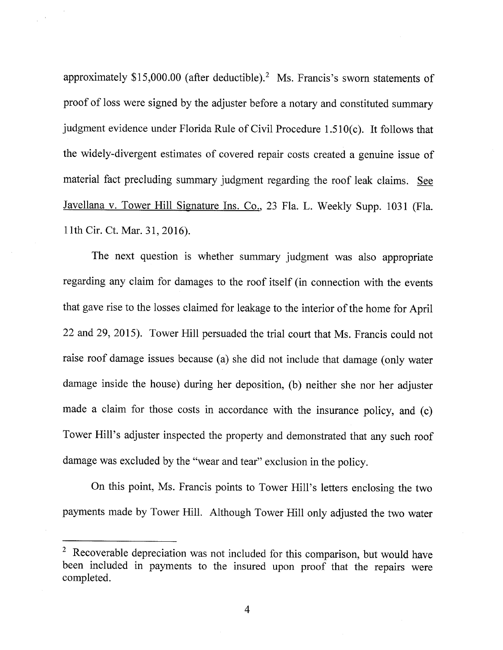approximately  $$15,000.00$  (after deductible).<sup>2</sup> Ms. Francis's sworn statements of proof of loss were signed by the adjuster before a notary and constituted summary judgment evidence under Florida Rule of Civil Procedure 1 .510(c). It follows that the widely-divergent estimates of covered repair costs created a genuine issue of material fact precluding summary judgment regarding the roof leak claims. See Javellana v. Tower Hill Signature Ins. Co., 23 Fla. L. Weekly Supp. 1031 (Fla. 1lth Cir. Ct. Mar. 31,2016).

The next question is whether summary judgment was also appropriate regarding any claim for damages to the roof itself (in connection with the events that gave rise to the losses claimed for leakage to the interior of the home for April 22 and 29,2015). Tower Hill persuaded the trial court that Ms. Francis could not raise roof damage issues because (a) she did not include that damage (only water damage inside the house) during her deposition, (b) neither she nor her adjuster made a claim for those costs in accordance with the insurance policy, and (c) Tower Hill's adjuster inspected the property and demonstrated that any such roof damage was excluded by the "wear and tear" exclusion in the policy.

On this point, Ms. Francis points to Tower Hill's letters enclosing the two payments made by Tower Hill. Although Tower Hill only adjusted the two water

 $2$  Recoverable depreciation was not included for this comparison, but would have been included in payments to the insured upon proof that the repairs were completed.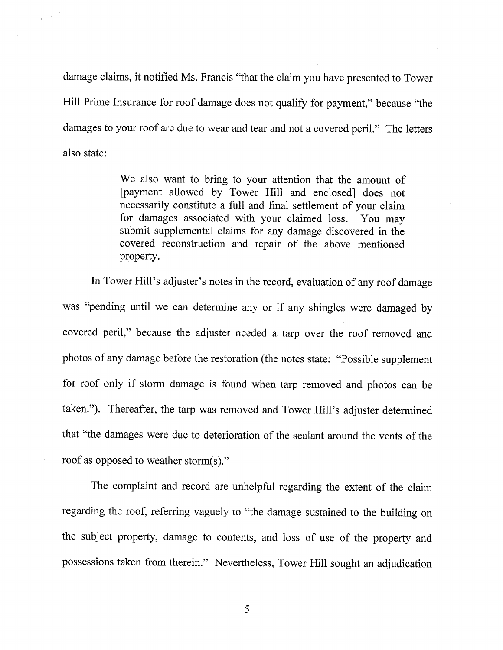damage claims, it notified Ms. Francis "that the claim you have presented to Tower Hill Prime Insurance for roof damage does not qualify for payment," because "the damages to your roof are due to wear and tear and not a covered peril." The letters also state:

> We also want to bring to your attention that the amount of fpayment allowed by Tower Hill and enclosed] does not necessarily constitute a full and final settlement of your claim for damages associated with your claimed loss. You may submit supplemental claims for any damage discovered in the covered reconstruction and repair of the above mentioned properfy.

In Tower Hill's adjuster's notes in the record, evaluation of any roof damage was "pending until we can determine any or if any shingles were damaged by covered peril," because the adjuster needed a tarp over the roof removed and photos of any damage before the restoration (the notes state: "Possible supplement for roof only if storm damage is found when tarp removed and photos can be taken."). Thereafter, the tarp was removed and Tower Hill's adjuster determined that 'the damages were due to deterioration of the sealant around the vents of the roof as opposed to weather storm(s)."

The complaint and record are unhelpful regarding the extent of the claim regarding the roof, referring vaguely to "the damage sustained to the building on the subject properfy, damage to contents, and loss of use of the properfy and possessions taken from therein." Nevertheless, Tower Hill sought an adjudication